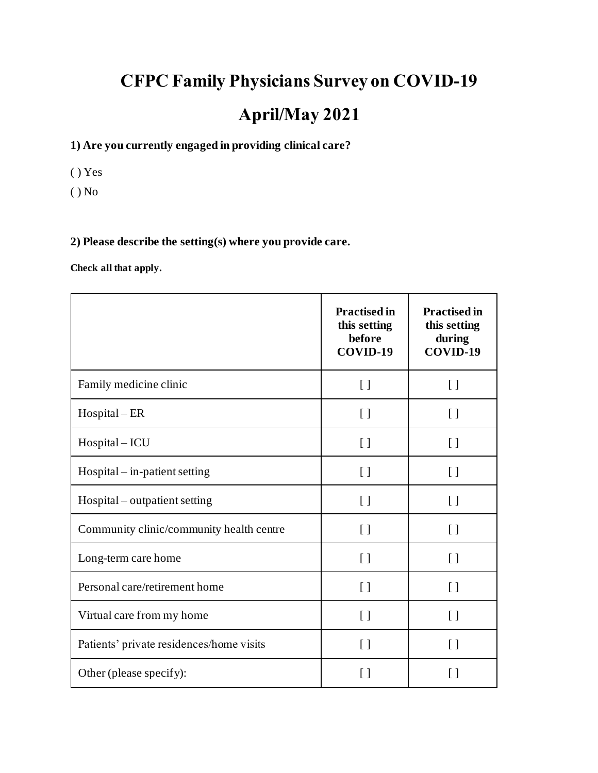# **CFPC Family Physicians Survey on COVID-19 April/May 2021**

#### **1) Are you currently engaged in providing clinical care?**

( ) Yes

( ) No

#### **2) Please describe the setting(s) where you provide care.**

**Check all that apply.**

|                                          | <b>Practised in</b><br>this setting<br>before<br>COVID-19 | <b>Practised in</b><br>this setting<br>during<br>COVID-19 |
|------------------------------------------|-----------------------------------------------------------|-----------------------------------------------------------|
| Family medicine clinic                   | $\left[ \ \right]$                                        | $\left[ \ \right]$                                        |
| $Hospital - ER$                          | $\left[ \ \right]$                                        | $\left[ \ \right]$                                        |
| Hospital - ICU                           | $\left[ \ \right]$                                        | $\left[ \ \right]$                                        |
| $Hospital - in-patient setting$          | $\left[ \ \right]$                                        | $\left[ \ \right]$                                        |
| Hospital – outpatient setting            | $\left[\right]$                                           | $\left[\right]$                                           |
| Community clinic/community health centre | $\left[ \ \right]$                                        | $\left[ \ \right]$                                        |
| Long-term care home                      | $\left[ \ \right]$                                        | $\lceil$                                                  |
| Personal care/retirement home            | $\left[ \ \right]$                                        | $\left[\right]$                                           |
| Virtual care from my home                | $\left[ \ \right]$                                        | $\left[ \ \right]$                                        |
| Patients' private residences/home visits | $\left[ \ \right]$                                        | $\left[ \ \right]$                                        |
| Other (please specify):                  | $\left[\right]$                                           | $\lceil$ $\rceil$                                         |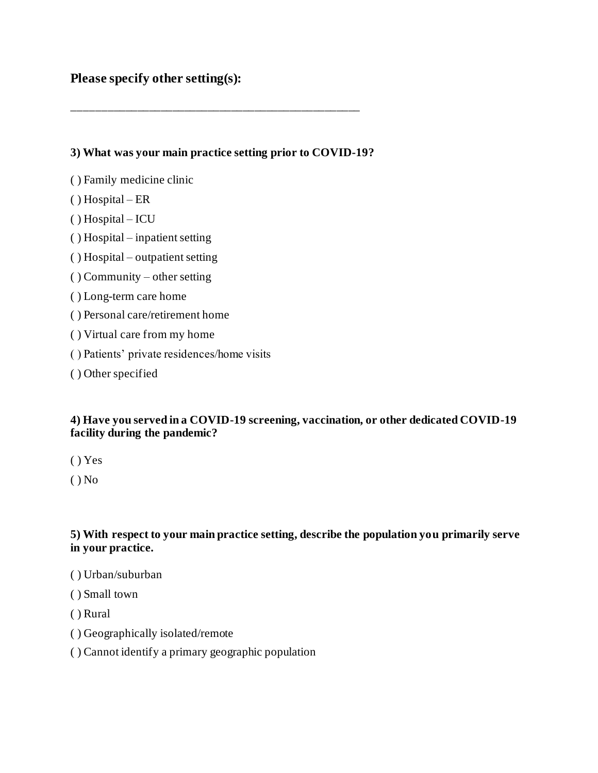#### **Please specify other setting(s):**

**3) What was your main practice setting prior to COVID-19?**

\_\_\_\_\_\_\_\_\_\_\_\_\_\_\_\_\_\_\_\_\_\_\_\_\_\_\_\_\_\_\_\_\_\_\_\_\_\_\_\_\_\_\_\_\_\_\_\_\_

- ( ) Family medicine clinic
- ( ) Hospital ER
- ( ) Hospital ICU
- ( ) Hospital inpatient setting
- ( ) Hospital outpatient setting
- ( ) Community other setting
- ( ) Long-term care home
- ( ) Personal care/retirement home
- ( ) Virtual care from my home
- ( ) Patients' private residences/home visits
- ( ) Other specified

#### **4) Have you served in a COVID-19 screening, vaccination, or other dedicated COVID-19 facility during the pandemic?**

- ( ) Yes
- $()$  No

#### **5) With respect to your main practice setting, describe the population you primarily serve in your practice.**

- ( ) Urban/suburban
- ( ) Small town
- ( ) Rural
- ( ) Geographically isolated/remote
- ( ) Cannot identify a primary geographic population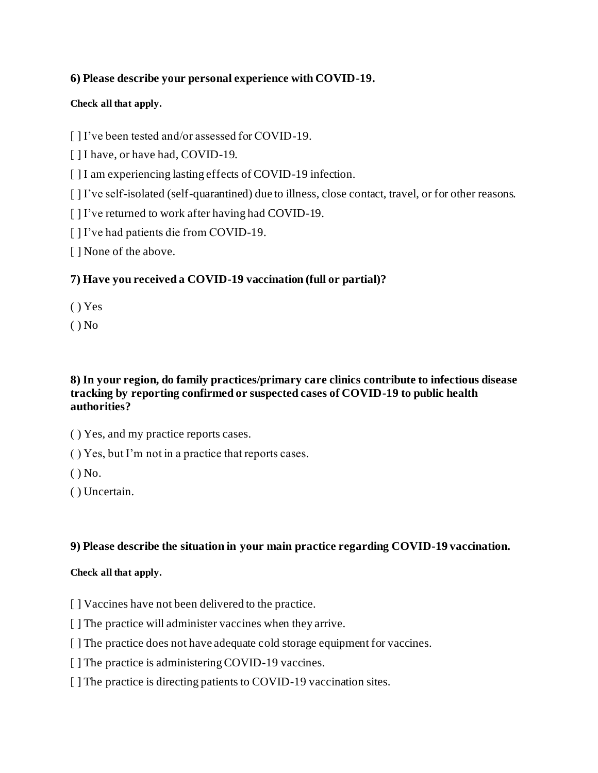#### **6) Please describe your personal experience with COVID-19.**

#### **Check all that apply.**

[] I've been tested and/or assessed for COVID-19.

[ ] I have, or have had, COVID-19.

[ ] I am experiencing lasting effects of COVID-19 infection.

[ ] I've self-isolated (self-quarantined) due to illness, close contact, travel, or for other reasons.

[] I've returned to work after having had COVID-19.

[ ] I've had patients die from COVID-19.

[ ] None of the above.

#### **7) Have you received a COVID-19 vaccination (full or partial)?**

( ) Yes

 $()$  No

#### **8) In your region, do family practices/primary care clinics contribute to infectious disease tracking by reporting confirmed or suspected cases of COVID-19 to public health authorities?**

( ) Yes, and my practice reports cases.

( ) Yes, but I'm not in a practice that reports cases.

 $()$  No.

( ) Uncertain.

#### **9) Please describe the situation in your main practice regarding COVID-19 vaccination.**

#### **Check all that apply.**

[] Vaccines have not been delivered to the practice.

[ ] The practice will administer vaccines when they arrive.

[] The practice does not have adequate cold storage equipment for vaccines.

[] The practice is administering COVID-19 vaccines.

[ ] The practice is directing patients to COVID-19 vaccination sites.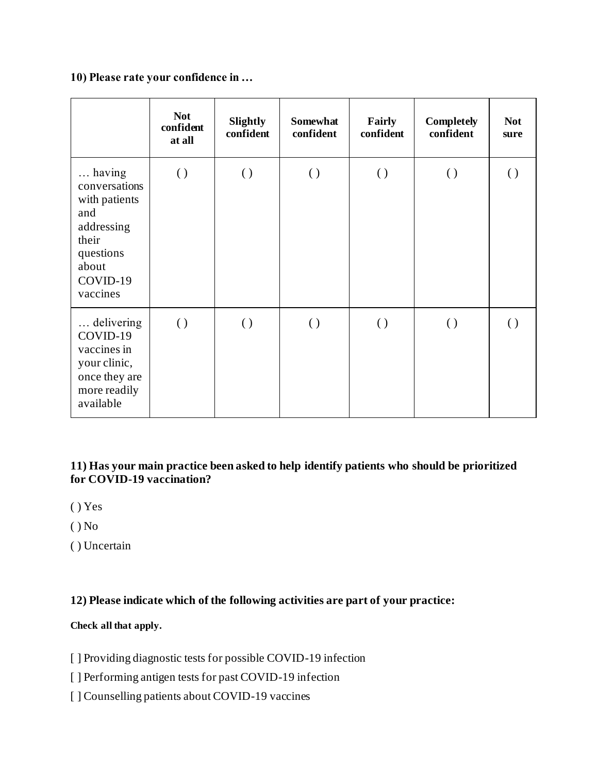**10) Please rate your confidence in …**

|                                                                                                                      | <b>Not</b><br>confident<br>at all | Slightly<br>confident | Somewhat<br>confident | Fairly<br>confident | <b>Completely</b><br>confident | <b>Not</b><br>sure |
|----------------------------------------------------------------------------------------------------------------------|-----------------------------------|-----------------------|-----------------------|---------------------|--------------------------------|--------------------|
| having<br>conversations<br>with patients<br>and<br>addressing<br>their<br>questions<br>about<br>COVID-19<br>vaccines | $\left( \ \right)$                | $\left( \ \right)$    | $\left( \ \right)$    | $\left( \ \right)$  | $\left( \ \right)$             | $\left( \right)$   |
| delivering<br>COVID-19<br>vaccines in<br>your clinic,<br>once they are<br>more readily<br>available                  | $\left( \right)$                  | $\left( \ \right)$    | $\left( \ \right)$    | $\left( \ \right)$  | $\left( \ \right)$             | $\left( \right)$   |

**11) Has your main practice been asked to help identify patients who should be prioritized for COVID-19 vaccination?**

- ( ) Yes
- ( ) No
- ( ) Uncertain

**12) Please indicate which of the following activities are part of your practice:**

#### **Check all that apply.**

[ ] Providing diagnostic tests for possible COVID-19 infection

- [ ] Performing antigen tests for past COVID-19 infection
- [ ] Counselling patients about COVID-19 vaccines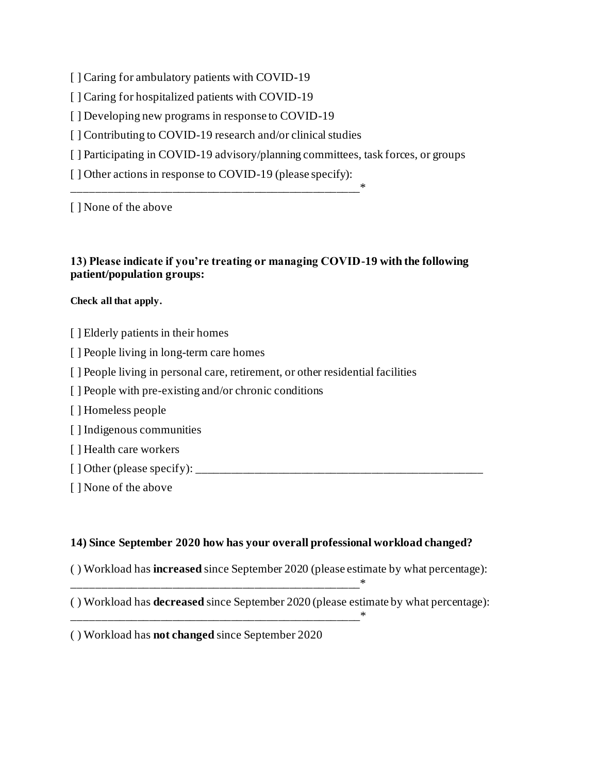[ ] Caring for ambulatory patients with COVID-19

[ ] Caring for hospitalized patients with COVID-19

[ ] Developing new programs in response to COVID-19

[ ] Contributing to COVID-19 research and/or clinical studies

[ ] Participating in COVID-19 advisory/planning committees, task forces, or groups

[ ] Other actions in response to COVID-19 (please specify):

\_\_\_\_\_\_\_\_\_\_\_\_\_\_\_\_\_\_\_\_\_\_\_\_\_\_\_\_\_\_\_\_\_\_\_\_\_\_\_\_\_\_\_\_\_\_\_\_\_\*

[ ] None of the above

#### **13) Please indicate if you're treating or managing COVID-19 with the following patient/population groups:**

#### **Check all that apply.**

- [ ] Elderly patients in their homes
- [ ] People living in long-term care homes
- [ ] People living in personal care, retirement, or other residential facilities
- [ ] People with pre-existing and/or chronic conditions
- [ ] Homeless people
- [ ] Indigenous communities
- [ ] Health care workers
- [ ] Other (please specify): \_\_\_\_\_\_\_\_\_\_\_\_\_\_\_\_\_\_\_\_\_\_\_\_\_\_\_\_\_\_\_\_\_\_\_\_\_\_\_\_\_\_\_\_\_\_\_\_\_
- [ ] None of the above

#### **14) Since September 2020 how has your overall professional workload changed?**

- ( ) Workload has **increased** since September 2020 (please estimate by what percentage):
- ( ) Workload has **decreased** since September 2020 (please estimate by what percentage):

( ) Workload has **not changed** since September 2020

\_\_\_\_\_\_\_\_\_\_\_\_\_\_\_\_\_\_\_\_\_\_\_\_\_\_\_\_\_\_\_\_\_\_\_\_\_\_\_\_\_\_\_\_\_\_\_\_\_\*

\_\_\_\_\_\_\_\_\_\_\_\_\_\_\_\_\_\_\_\_\_\_\_\_\_\_\_\_\_\_\_\_\_\_\_\_\_\_\_\_\_\_\_\_\_\_\_\_\_\*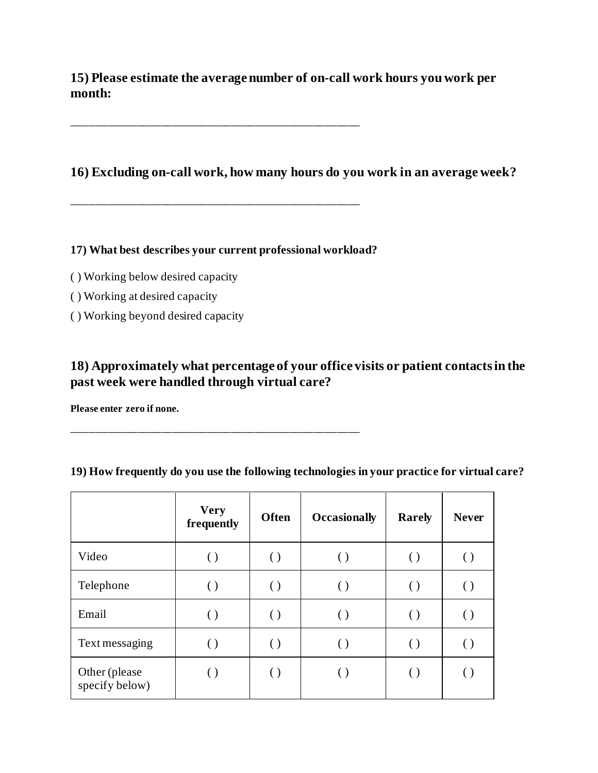**15) Please estimate the average number of on-call work hours you work per month:**

**16) Excluding on-call work, how many hours do you work in an average week?**

**17) What best describes your current professional workload?**

\_\_\_\_\_\_\_\_\_\_\_\_\_\_\_\_\_\_\_\_\_\_\_\_\_\_\_\_\_\_\_\_\_\_\_\_\_\_\_\_\_\_\_\_\_\_\_\_\_

\_\_\_\_\_\_\_\_\_\_\_\_\_\_\_\_\_\_\_\_\_\_\_\_\_\_\_\_\_\_\_\_\_\_\_\_\_\_\_\_\_\_\_\_\_\_\_\_\_

- ( ) Working below desired capacity
- ( ) Working at desired capacity
- ( ) Working beyond desired capacity

#### **18) Approximately what percentage of your office visits or patient contacts in the past week were handled through virtual care?**

**Please enter zero if none.**

|                                 | <b>Very</b><br>frequently | <b>Often</b>       | <b>Occasionally</b> | <b>Rarely</b>      | <b>Never</b> |
|---------------------------------|---------------------------|--------------------|---------------------|--------------------|--------------|
| Video                           |                           |                    |                     | $\left( \ \right)$ |              |
| Telephone                       |                           |                    |                     | $\left( \ \right)$ |              |
| Email                           | $\left( \right)$          | $\left( \ \right)$ | $\left( \ \right)$  | $\left( \ \right)$ |              |
| Text messaging                  |                           |                    |                     | $\left( \ \right)$ |              |
| Other (please<br>specify below) |                           |                    |                     | $\left(\,\right)$  |              |

#### **19) How frequently do you use the following technologies in your practice for virtual care?**

\_\_\_\_\_\_\_\_\_\_\_\_\_\_\_\_\_\_\_\_\_\_\_\_\_\_\_\_\_\_\_\_\_\_\_\_\_\_\_\_\_\_\_\_\_\_\_\_\_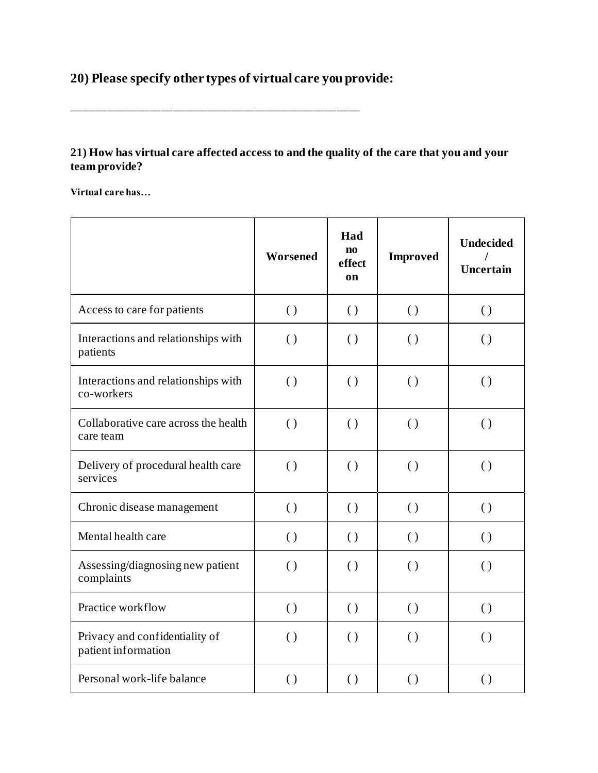## **20) Please specify other types of virtual care you provide:**

\_\_\_\_\_\_\_\_\_\_\_\_\_\_\_\_\_\_\_\_\_\_\_\_\_\_\_\_\_\_\_\_\_\_\_\_\_\_\_\_\_\_\_\_\_\_\_\_\_

#### **21) How has virtual care affected access to and the quality of the care that you and your team provide?**

**Virtual care has…**

|                                                       | Worsened           | Had<br>$\mathbf{n}\mathbf{o}$<br>effect<br>on | <b>Improved</b>    | <b>Undecided</b><br>Uncertain |
|-------------------------------------------------------|--------------------|-----------------------------------------------|--------------------|-------------------------------|
| Access to care for patients                           | $\left( \right)$   | $\left( \ \right)$                            | $\left( \ \right)$ | $\left( \right)$              |
| Interactions and relationships with<br>patients       | $\left( \ \right)$ | $\left( \right)$                              | $\left( \ \right)$ | $\left( \ \right)$            |
| Interactions and relationships with<br>co-workers     | $\left( \right)$   | $\left( \right)$                              | $\left( \right)$   | $\left( \right)$              |
| Collaborative care across the health<br>care team     | $\left( \ \right)$ | $\left( \ \right)$                            | $\left( \ \right)$ | $\left( \ \right)$            |
| Delivery of procedural health care<br>services        | $\left( \right)$   | $\left( \right)$                              | $\left( \ \right)$ | $\left( \right)$              |
| Chronic disease management                            | $\left( \ \right)$ | $\left( \ \right)$                            | $\left( \ \right)$ | $\left( \right)$              |
| Mental health care                                    | $\left( \right)$   | $\left( \right)$                              | $\left( \ \right)$ | $\left( \right)$              |
| Assessing/diagnosing new patient<br>complaints        | $\left( \ \right)$ | $\left( \right)$                              | $\left( \ \right)$ | $\left( \ \right)$            |
| Practice workflow                                     | $\left( \ \right)$ | $\left( \ \right)$                            | $\left( \ \right)$ | $\left( \ \right)$            |
| Privacy and confidentiality of<br>patient information | $\left( \right)$   | $\left( \right)$                              | $\left( \ \right)$ | $\left( \right)$              |
| Personal work-life balance                            | $\left( \right)$   | $\left( \right)$                              | $\left( \ \right)$ | $\left( \ \right)$            |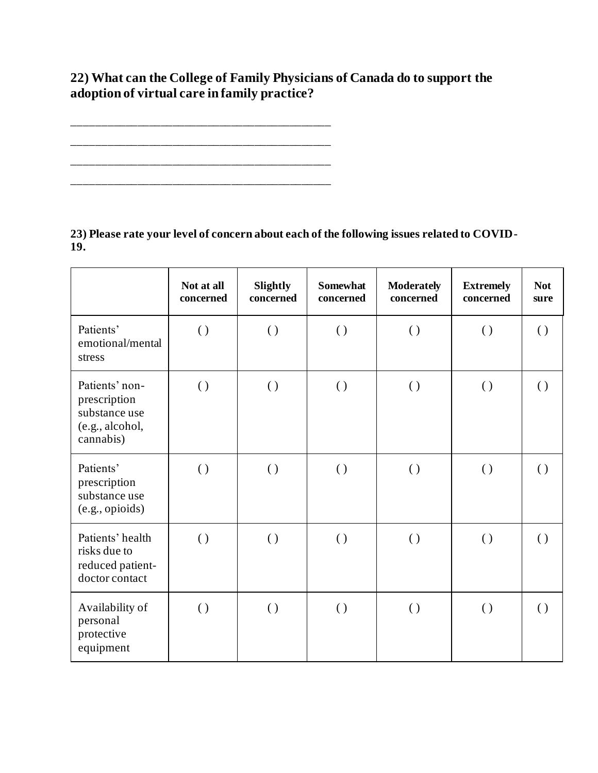## **22) What can the College of Family Physicians of Canada do to support the adoption of virtual care in family practice?**

\_\_\_\_\_\_\_\_\_\_\_\_\_\_\_\_\_\_\_\_\_\_\_\_\_\_\_\_\_\_\_\_\_\_\_\_\_\_\_\_\_\_\_\_ \_\_\_\_\_\_\_\_\_\_\_\_\_\_\_\_\_\_\_\_\_\_\_\_\_\_\_\_\_\_\_\_\_\_\_\_\_\_\_\_\_\_\_\_ \_\_\_\_\_\_\_\_\_\_\_\_\_\_\_\_\_\_\_\_\_\_\_\_\_\_\_\_\_\_\_\_\_\_\_\_\_\_\_\_\_\_\_\_ \_\_\_\_\_\_\_\_\_\_\_\_\_\_\_\_\_\_\_\_\_\_\_\_\_\_\_\_\_\_\_\_\_\_\_\_\_\_\_\_\_\_\_\_

**23) Please rate your level of concern about each of the following issues related to COVID-19.**

|                                                                                 | Not at all<br>concerned | Slightly<br>concerned | <b>Somewhat</b><br>concerned | <b>Moderately</b><br>concerned | <b>Extremely</b><br>concerned | <b>Not</b><br>sure |
|---------------------------------------------------------------------------------|-------------------------|-----------------------|------------------------------|--------------------------------|-------------------------------|--------------------|
| Patients'<br>emotional/mental<br>stress                                         | $\left( \ \right)$      | $\left( \ \right)$    | $\left( \ \right)$           | $\left( \ \right)$             | $\left( \ \right)$            | $\left( \ \right)$ |
| Patients' non-<br>prescription<br>substance use<br>(e.g., alcohol,<br>cannabis) | $\left( \ \right)$      | $\left( \ \right)$    | $\left( \ \right)$           | $\left( \ \right)$             | $\left( \ \right)$            | $\left( \ \right)$ |
| Patients'<br>prescription<br>substance use<br>(e.g., opioids)                   | $\left( \ \right)$      | $\left( \ \right)$    | $\left( \ \right)$           | $\left( \ \right)$             | $\left( \ \right)$            | $\left( \ \right)$ |
| Patients' health<br>risks due to<br>reduced patient-<br>doctor contact          | $\left( \ \right)$      | $\left( \ \right)$    | $\left( \ \right)$           | $\left( \ \right)$             | $\left( \ \right)$            | $\left( \ \right)$ |
| Availability of<br>personal<br>protective<br>equipment                          | $\left( \ \right)$      | $\left( \ \right)$    | $\left( \ \right)$           | $\left( \ \right)$             | $\left( \ \right)$            | $\left( \ \right)$ |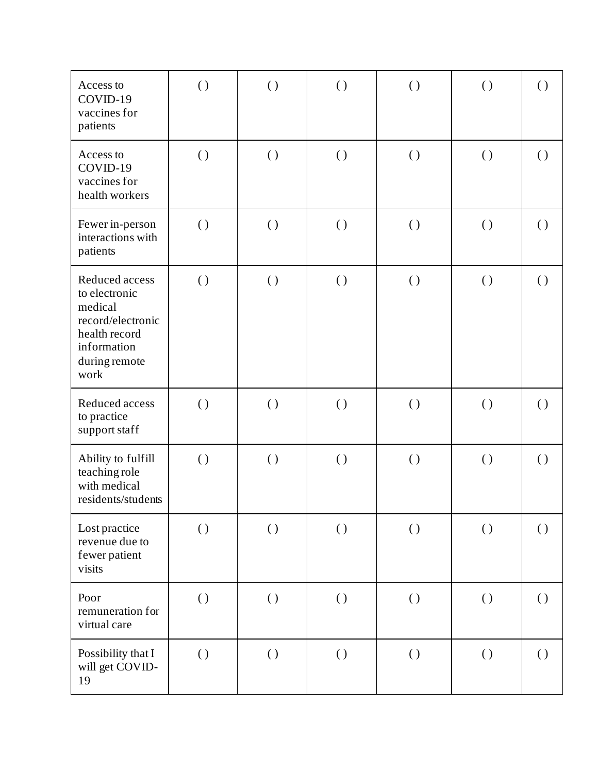| Access to<br>COVID-19<br>vaccines for<br>patients                                                                        | $\left( \ \right)$ | $\left( \ \right)$ | $\left( \ \right)$ | $\left( \ \right)$ | $\left( \ \right)$ | $\left( \ \right)$ |
|--------------------------------------------------------------------------------------------------------------------------|--------------------|--------------------|--------------------|--------------------|--------------------|--------------------|
| Access to<br>COVID-19<br>vaccines for<br>health workers                                                                  | $\left( \ \right)$ | ( )                | $\left( \ \right)$ | $\left( \ \right)$ | $\left( \ \right)$ | $\left( \ \right)$ |
| Fewer in-person<br>interactions with<br>patients                                                                         | $\left( \ \right)$ | $\left( \ \right)$ | $\left( \ \right)$ | $\left( \ \right)$ | $\left( \ \right)$ | $\left( \ \right)$ |
| Reduced access<br>to electronic<br>medical<br>record/electronic<br>health record<br>information<br>during remote<br>work | $\left( \ \right)$ | $\left( \ \right)$ | $\left( \ \right)$ | $\left( \ \right)$ | $\left( \ \right)$ | $\left( \ \right)$ |
| Reduced access<br>to practice<br>support staff                                                                           | $\left( \ \right)$ | $\left( \ \right)$ | $\left( \ \right)$ | $\left( \ \right)$ | $\left( \ \right)$ | $\left( \ \right)$ |
| Ability to fulfill<br>teaching role<br>with medical<br>residents/students                                                | $\left( \ \right)$ | $\left( \ \right)$ | $\left( \ \right)$ | $\left( \ \right)$ | $\left( \ \right)$ | $\left( \ \right)$ |
| Lost practice<br>revenue due to<br>fewer patient<br>visits                                                               | $\left( \ \right)$ | $\left( \ \right)$ | $\left( \ \right)$ | $\left( \ \right)$ | $\left( \ \right)$ | $\left( \ \right)$ |
| Poor<br>remuneration for<br>virtual care                                                                                 | $\left( \ \right)$ | $\left( \ \right)$ | $\left( \ \right)$ | $\left( \ \right)$ | $\left( \ \right)$ | $\left( \ \right)$ |
| Possibility that I<br>will get COVID-<br>19                                                                              | $\left( \ \right)$ | $\left( \ \right)$ | $\left( \ \right)$ | $\left( \ \right)$ | $\left( \ \right)$ | $\left( \ \right)$ |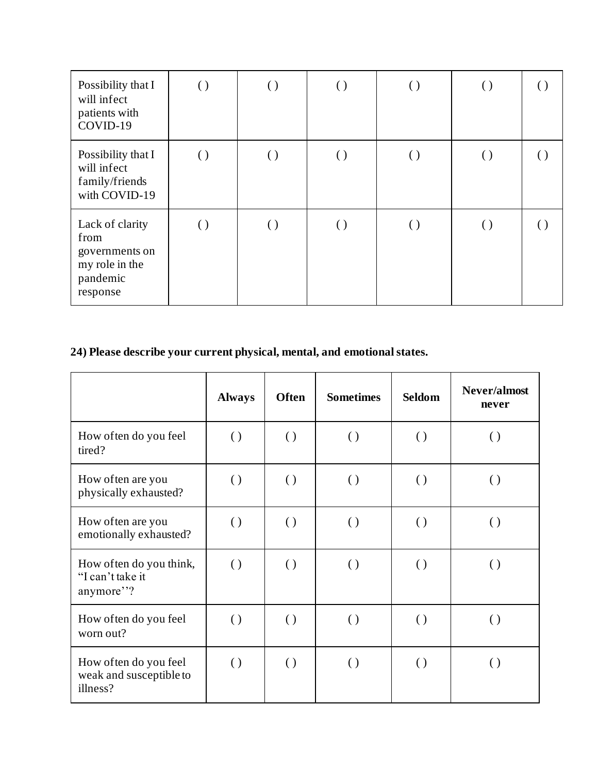| Possibility that I<br>will infect<br>patients with<br>COVID-19                      | $\left( \ \right)$ | $\left(\,\right)$ | $\left( \ \right)$ | $\left( \ \right)$ | $\left( \ \right)$ |  |
|-------------------------------------------------------------------------------------|--------------------|-------------------|--------------------|--------------------|--------------------|--|
| Possibility that I<br>will infect<br>family/friends<br>with COVID-19                | $\left( \ \right)$ | $\left(\right)$   | $\left( \ \right)$ | $\left(\,\right)$  | $(\ )$             |  |
| Lack of clarity<br>from<br>governments on<br>my role in the<br>pandemic<br>response | $\left( \ \right)$ | $\left(\right)$   | $\left( \ \right)$ | $\left(\,\right)$  | $(\ )$             |  |

## **24) Please describe your current physical, mental, and emotional states.**

|                                                              | <b>Always</b>      | <b>Often</b>       | <b>Sometimes</b>   | <b>Seldom</b>      | Never/almost<br>never |
|--------------------------------------------------------------|--------------------|--------------------|--------------------|--------------------|-----------------------|
| How often do you feel<br>tired?                              | $\left( \right)$   | $\left( \ \right)$ | $\left( \ \right)$ | $\left( \ \right)$ | $\left( \right)$      |
| How often are you<br>physically exhausted?                   | $\left( \ \right)$ | $\left( \right)$   | $\left( \ \right)$ | $\left( \ \right)$ | $\left( \ \right)$    |
| How often are you<br>emotionally exhausted?                  | $\left( \right)$   | $\left( \right)$   | $\left( \right)$   | $\left( \ \right)$ | $\left( \ \right)$    |
| How often do you think,<br>"I can't take it<br>anymore"?     | $\left( \ \right)$ | $\left( \ \right)$ | $\left( \right)$   | $\left( \ \right)$ | $\left( \right)$      |
| How often do you feel<br>worn out?                           | $\left( \ \right)$ | $\left( \right)$   | $\left( \ \right)$ | $\left( \right)$   | $\left( \ \right)$    |
| How often do you feel<br>weak and susceptible to<br>illness? | $\left( \right)$   | $\left( \right)$   | $\left( \right)$   | $\left( \ \right)$ | $\left( \ \right)$    |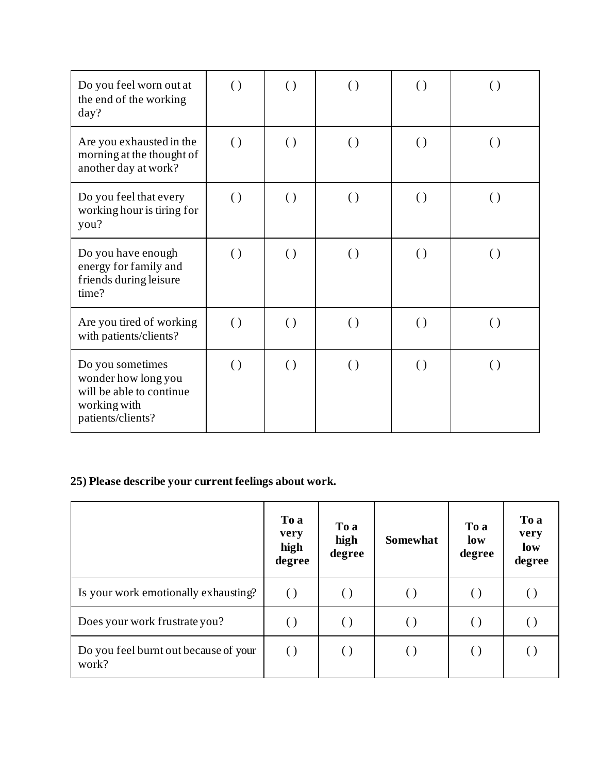| Do you feel worn out at<br>the end of the working<br>day?                                                | $\left( \right)$   | $\left( \ \right)$ | $\left( \ \right)$ | $\left( \ \right)$ | $\left( \ \right)$ |
|----------------------------------------------------------------------------------------------------------|--------------------|--------------------|--------------------|--------------------|--------------------|
| Are you exhausted in the<br>morning at the thought of<br>another day at work?                            | $\left( \ \right)$ | $\left( \ \right)$ | $\left( \ \right)$ | $\left( \ \right)$ | $\left( \right)$   |
| Do you feel that every<br>working hour is tiring for<br>you?                                             | $\left( \right)$   | $\left( \ \right)$ | $\left( \ \right)$ | $\left( \right)$   | $\left( \ \right)$ |
| Do you have enough<br>energy for family and<br>friends during leisure<br>time?                           | $\left( \ \right)$ | $\left( \ \right)$ | $\left( \ \right)$ | $\left( \ \right)$ | $\left( \right)$   |
| Are you tired of working<br>with patients/clients?                                                       | $\left( \right)$   | $\left( \right)$   | $\left( \right)$   | $\left( \right)$   | $\left( \right)$   |
| Do you sometimes<br>wonder how long you<br>will be able to continue<br>working with<br>patients/clients? | $\left( \ \right)$ | $\left( \ \right)$ | $\left( \ \right)$ | $\left( \ \right)$ | $\left( \ \right)$ |

## **25) Please describe your current feelings about work.**

|                                                | To a<br>very<br>high<br>degree | To a<br>high<br>degree | <b>Somewhat</b> | To a<br>low<br>degree | To a<br>very<br>low<br>degree |
|------------------------------------------------|--------------------------------|------------------------|-----------------|-----------------------|-------------------------------|
| Is your work emotionally exhausting?           |                                |                        |                 |                       |                               |
| Does your work frustrate you?                  |                                |                        |                 |                       |                               |
| Do you feel burnt out because of your<br>work? | $\left( \ \right)$             | $(\ )$                 | ( )             | $(\ )$                | $\left( \right)$              |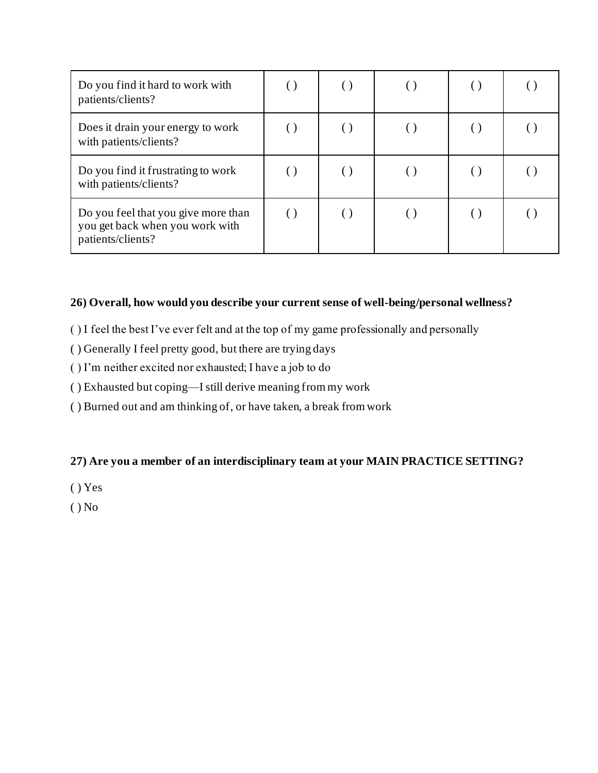| Do you find it hard to work with<br>patients/clients?                                       |  |  |  |
|---------------------------------------------------------------------------------------------|--|--|--|
| Does it drain your energy to work<br>with patients/clients?                                 |  |  |  |
| Do you find it frustrating to work<br>with patients/clients?                                |  |  |  |
| Do you feel that you give more than<br>you get back when you work with<br>patients/clients? |  |  |  |

#### **26) Overall, how would you describe your current sense of well-being/personal wellness?**

- ( ) I feel the best I've ever felt and at the top of my game professionally and personally
- ( ) Generally I feel pretty good, but there are trying days
- ( ) I'm neither excited nor exhausted; I have a job to do
- ( ) Exhausted but coping—I still derive meaning from my work
- ( ) Burned out and am thinking of, or have taken, a break from work

#### **27) Are you a member of an interdisciplinary team at your MAIN PRACTICE SETTING?**

- ( ) Yes
- $()$  No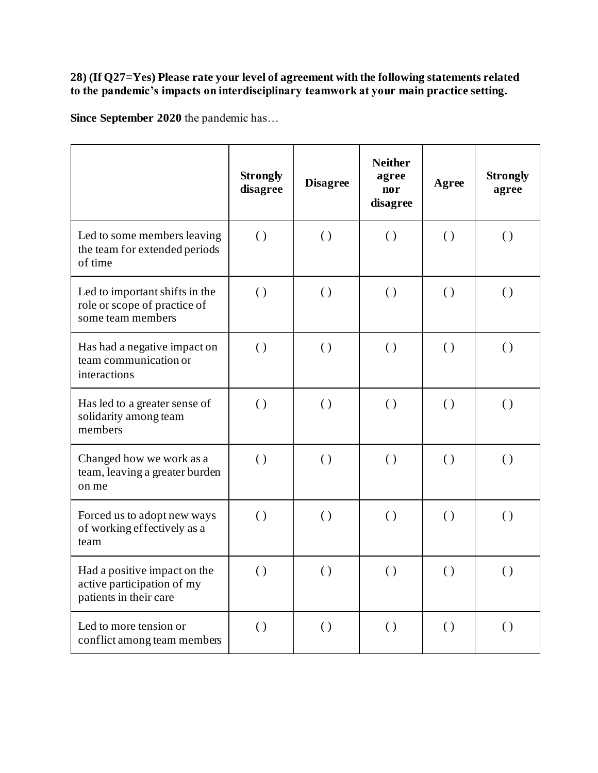#### **28) (If Q27=Yes) Please rate your level of agreement with the following statements related to the pandemic's impacts on interdisciplinary teamwork at your main practice setting.**

**Since September 2020** the pandemic has…

|                                                                                      | <b>Strongly</b><br>disagree | <b>Disagree</b>    | <b>Neither</b><br>agree<br>nor<br>disagree | Agree              | <b>Strongly</b><br>agree |
|--------------------------------------------------------------------------------------|-----------------------------|--------------------|--------------------------------------------|--------------------|--------------------------|
| Led to some members leaving<br>the team for extended periods<br>of time              | $\left( \ \right)$          | $\left( \right)$   | $\left( \ \right)$                         | $\left( \right)$   | $\left( \ \right)$       |
| Led to important shifts in the<br>role or scope of practice of<br>some team members  | $\left( \right)$            | $\left( \right)$   | $\left( \right)$                           | $\left( \right)$   | $\left( \right)$         |
| Has had a negative impact on<br>team communication or<br>interactions                | $\left( \ \right)$          | $\left( \ \right)$ | $\left( \right)$                           | $\left( \right)$   | $\left( \ \right)$       |
| Has led to a greater sense of<br>solidarity among team<br>members                    | $\left( \ \right)$          | $\left( \right)$   | $\left( \right)$                           | $\left( \right)$   | $\left( \right)$         |
| Changed how we work as a<br>team, leaving a greater burden<br>on me                  | $\left( \right)$            | $\left( \right)$   | $\left( \right)$                           | $\left( \ \right)$ | $\left( \right)$         |
| Forced us to adopt new ways<br>of working effectively as a<br>team                   | $\left( \ \right)$          | $\left( \ \right)$ | $\left( \ \right)$                         | $\left( \ \right)$ | $\left( \ \right)$       |
| Had a positive impact on the<br>active participation of my<br>patients in their care | $\left( \ \right)$          | $\left( \right)$   | $\left( \right)$                           | $\left( \right)$   | $\left( \right)$         |
| Led to more tension or<br>conflict among team members                                | $\left( \ \right)$          | $\left( \ \right)$ | $\left( \right)$                           | $\left( \ \right)$ | $\left( \right)$         |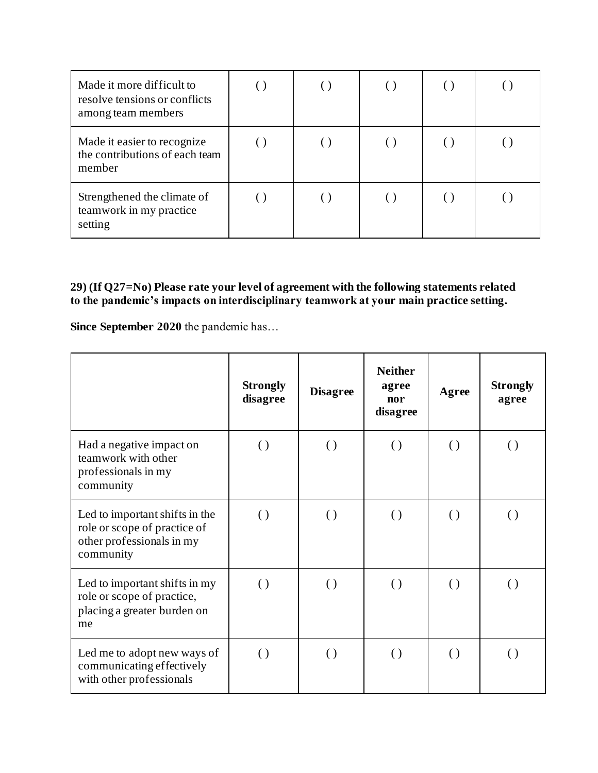| Made it more difficult to<br>resolve tensions or conflicts<br>among team members |  |  |  |
|----------------------------------------------------------------------------------|--|--|--|
| Made it easier to recognize<br>the contributions of each team<br>member          |  |  |  |
| Strengthened the climate of<br>teamwork in my practice<br>setting                |  |  |  |

#### **29) (If Q27=No) Please rate your level of agreement with the following statements related to the pandemic's impacts on interdisciplinary teamwork at your main practice setting.**

**Since September 2020** the pandemic has…

|                                                                                                          | <b>Strongly</b><br>disagree | <b>Disagree</b>    | <b>Neither</b><br>agree<br>nor<br>disagree | Agree              | <b>Strongly</b><br>agree |
|----------------------------------------------------------------------------------------------------------|-----------------------------|--------------------|--------------------------------------------|--------------------|--------------------------|
| Had a negative impact on<br>teamwork with other<br>professionals in my<br>community                      | $\left( \ \right)$          | $\left( \ \right)$ | $\left( \ \right)$                         | $\left( \ \right)$ | $\left( \right)$         |
| Led to important shifts in the<br>role or scope of practice of<br>other professionals in my<br>community | $\left( \ \right)$          | $\left( \ \right)$ | $\left( \right)$                           | $\left( \right)$   | $\left( \right)$         |
| Led to important shifts in my<br>role or scope of practice,<br>placing a greater burden on<br>me         | $\left( \ \right)$          | $\left( \right)$   | $\left( \right)$                           | $\left( \right)$   | $\left( \right)$         |
| Led me to adopt new ways of<br>communicating effectively<br>with other professionals                     | $\left( \ \right)$          | $\left( \right)$   | $\left( \ \right)$                         | $\left( \ \right)$ | $\left( \right)$         |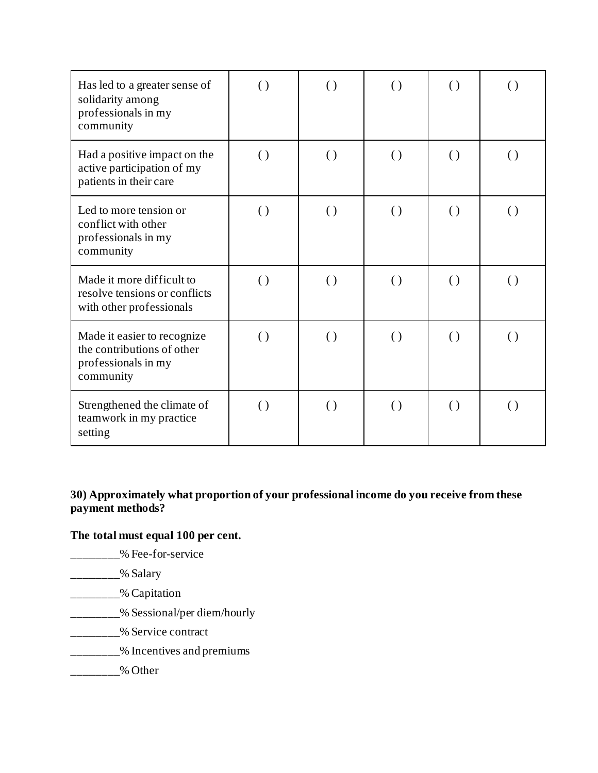| Has led to a greater sense of<br>solidarity among<br>professionals in my<br>community         | $\left( \ \right)$ | $\left( \right)$   | $\left( \ \right)$ | $\left( \ \right)$ | $\left( \right)$   |
|-----------------------------------------------------------------------------------------------|--------------------|--------------------|--------------------|--------------------|--------------------|
| Had a positive impact on the<br>active participation of my<br>patients in their care          | $\left( \ \right)$ | $\left( \ \right)$ | $\left( \ \right)$ | $\left( \ \right)$ | $\left( \ \right)$ |
| Led to more tension or<br>conflict with other<br>professionals in my<br>community             | $\left( \ \right)$ | $\left( \ \right)$ | $\left( \ \right)$ | $\left( \ \right)$ | $\left( \ \right)$ |
| Made it more difficult to<br>resolve tensions or conflicts<br>with other professionals        | $\left( \ \right)$ | $\left( \ \right)$ | $\left( \ \right)$ | $\left( \ \right)$ | $\left( \ \right)$ |
| Made it easier to recognize<br>the contributions of other<br>professionals in my<br>community | $\left( \ \right)$ | $\left( \right)$   | $\left( \ \right)$ | $\left( \ \right)$ | $\left( \right)$   |
| Strengthened the climate of<br>teamwork in my practice<br>setting                             | $\left( \ \right)$ | $\left( \ \right)$ | $\left( \right)$   | $\left( \ \right)$ | $\left( \ \right)$ |

**30) Approximately what proportion of your professional income do you receive from these payment methods?**

## **The total must equal 100 per cent.**

- \_\_\_\_\_\_\_\_% Fee-for-service
- \_\_\_\_\_\_\_\_% Salary
- \_\_\_\_\_\_\_\_% Capitation
- \_\_\_\_\_\_\_\_% Sessional/per diem/hourly
- \_\_\_\_\_\_\_\_% Service contract
- \_\_\_\_\_\_\_\_% Incentives and premiums
- $\frac{9}{2}$  Other